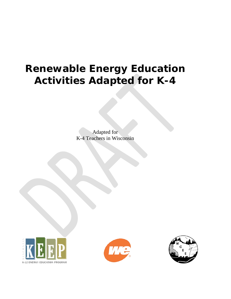# **Renewable Energy Education Activities Adapted for K-4**

Adapted for K-4 Teachers in Wisconsin





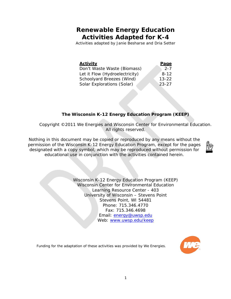### **Renewable Energy Education Activities Adapted for K-4**

*Activities adapted by Janie Besharse and Dria Setter*

| <b>Activity</b>                | <b>Page</b> |
|--------------------------------|-------------|
| Don't Waste Waste (Biomass)    | $2 - 7$     |
| Let it Flow (Hydroelectricity) | $8 - 12$    |
| Schoolyard Breezes (Wind)      | $13 - 22$   |
| Solar Explorations (Solar)     | $23 - 27$   |

#### **The Wisconsin K-12 Energy Education Program (KEEP)**

Copyright ©2011 We Energies and Wisconsin Center for Environmental Education. All rights reserved.

Nothing in this document may be copied or reproduced by any means without the permission of the Wisconsin K-12 Energy Education Program, except for the pages designated with a copy symbol, which may be reproduced without permission for educational use in conjunction with the activities contained herein.



Wisconsin K-12 Energy Education Program (KEEP) Wisconsin Center for Environmental Education Learning Resource Center - 403 University of Wisconsin – Stevens Point Stevens Point, WI 54481 Phone: 715.346.4770 Fax: 715.346.4698 Email: [energy@uwsp.edu](mailto:energy@uwsp.edu) Web: [www.uwsp.edu/keep](http://www.uwsp.edu/keep)



Funding for the adaptation of these activities was provided by We Energies.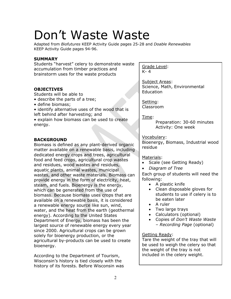# Don't Waste Waste

Adapted from *Biofutures* KEEP Activity Guide pages 25-28 and *Doable Renewables* KEEP Activity Guide pages 94-96.

#### **SUMMARY**

Students "harvest" celery to demonstrate waste accumulation from timber practices and brainstorm uses for the waste products

#### **OBJECTIVES**

Students will be able to

- describe the parts of a tree;
- define biomass;
- identify alternative uses of the wood that is left behind after harvesting; and

• explain how biomass can be used to create energy.

#### **BACKGROUND**

Biomass is defined as any plant-derived organic matter available on a renewable basis, including dedicated energy crops and trees, agricultural food and feed crops, agricultural crop wastes and residues, wood wastes and residues, aquatic plants, animal wastes, municipal wastes, and other waste materials. Biomass can provide energy in the form of electricity, heat, steam, and fuels. Bioenergy is the energy, which can be generated from the use of biomass. Because biomass uses crops that are available on a renewable basis, it is considered a renewable energy source like sun, wind, water, and the heat from the earth (geothermal energy). According to the United States Department of Energy, biomass has been the largest source of renewable energy every year since 2000. Agricultural crops can be grown solely for bioenergy production, or the agricultural by-products can be used to create bioenergy.

According to the Department of Tourism, Wisconsin's history is tied closely with the history of its forests. Before Wisconsin was Grade Level: K- 4

Subject Areas: Science, Math, Environmental Education

Setting: Classroom

Time:

Preparation: 30-60 minutes Activity: One week

#### Vocabulary:

Bioenergy, Biomass, Industrial wood residue

#### Materials:

- Scale (see Getting Ready)
- *Diagram of Tree*

Each group of students will need the following:

- A plastic knife
- Clean disposable gloves for students to use if celery is to be eaten later
- A ruler
- Two large trays
- Calculators (optional)
- Copies of *Don't Waste Waste – Recording Page* (optional)

#### Getting Ready:

Tare the weight of the tray that will be used to weigh the celery so that the weight of the tray is not included in the celery weight.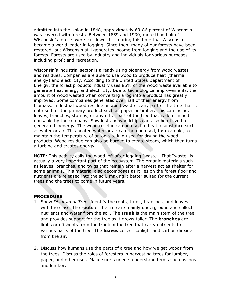admitted into the Union in 1848, approximately 63-86 percent of Wisconsin was covered with forests. Between 1859 and 1930, more than half of Wisconsin's forests were cut down. It is during this time that Wisconsin became a world leader in logging. Since then, many of our forests have been restored, but Wisconsin still generates income from logging and the use of its forests. Forests are used by industry and individuals for various purposes including profit and recreation.

Wisconsin's industrial sector is already using bioenergy from wood wastes and residues. Companies are able to use wood to produce heat (thermal energy) and electricity. According to the United States Department of Energy, the forest products industry uses 85% of the wood waste available to generate heat energy and electricity. Due to technological improvements, the amount of wood wasted when converting a log into a product has greatly improved. Some companies generated over half of their energy from biomass. Industrial wood residue or wood waste is any part of the tree that is not used for the primary product such as paper or timber. This can include leaves, branches, stumps, or any other part of the tree that is determined unusable by the company. Sawdust and woodchips can also be utilized to generate bioenergy. The wood residue can be used to heat a substance such as water or air. This heated water or air can then be used, for example, to maintain the temperature of an on-site kiln used for drying the wood products. Wood residue can also be burned to create steam, which then turns a turbine and creates energy.

NOTE: This activity calls the wood left after logging "waste." That "waste" is actually a very important part of the ecosystem. The organic materials such as leaves, branches, and twigs that remain after a harvest act as shelter for some animals. This material also decomposes as it lies on the forest floor and nutrients are released into the soil, making it better suited for the current trees and the trees to come in future years.

#### **PROCEDURE**

- 1. Show *Diagram of Tree*. Identify the roots, trunk, branches, and leaves with the class. The **roots** of the tree are mainly underground and collect nutrients and water from the soil. The **trunk** is the main stem of the tree and provides support for the tree as it grows taller. The **branches** are limbs or offshoots from the trunk of the tree that carry nutrients to various parts of the tree. The **leaves** collect sunlight and carbon dioxide from the air.
- 2. Discuss how humans use the parts of a tree and how we get woods from the trees. Discuss the roles of foresters in harvesting trees for lumber, paper, and other uses. Make sure students understand terms such as logs and lumber.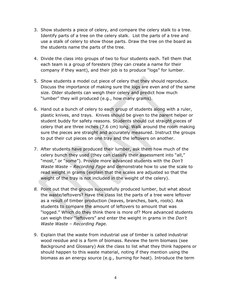- 3. Show students a piece of celery, and compare the celery stalk to a tree. Identify parts of a tree on the celery stalk. List the parts of a tree and use a stalk of celery to show those parts. Draw the tree on the board as the students name the parts of the tree.
- 4. Divide the class into groups of two to four students each. Tell them that each team is a group of foresters (they can create a name for their company if they want), and their job is to produce "logs" for lumber.
- 5. Show students a model cut piece of celery that they should reproduce. Discuss the importance of making sure the logs are even and of the same size. Older students can weigh their celery and predict how much "lumber" they will produced (e.g., how many grams).
- 6. Hand out a bunch of celery to each group of students along with a ruler, plastic knives, and trays. Knives should be given to the parent helper or student buddy for safety reasons. Students should cut straight pieces of celery that are three inches (7.6 cm) long. Walk around the room making sure the pieces are straight and accurately measured. Instruct the groups to put their cut pieces on one tray and the leftovers on another.
- 7. After students have produced their lumber, ask them how much of the celery bunch they used (they can classify their assessment into "all," "most," or "some"). Provide more advanced students with the *Don't Waste Waste – Recording Page* and demonstrate how to use the scale to read weight in grams (explain that the scales are adjusted so that the weight of the tray is not included in the weight of the celery).
- *8.* Point out that the groups successfully produced lumber, but what about the waste/leftovers? Have the class list the parts of a tree were leftover as a result of timber production (leaves, branches, bark, roots). Ask students to compare the amount of leftovers to amount that was "logged." Which do they think there is more of? More advanced students can weigh their "leftovers" and enter the weight in grams in the *Don't Waste Waste – Recording Page.*
- 9. Explain that the waste from industrial use of timber is called industrial wood residue and is a form of biomass. Review the term biomass (see Background and Glossary) Ask the class to list what they think happens or should happen to this waste material, noting if they mention using the biomass as an energy source (e.g., burning for heat). Introduce the term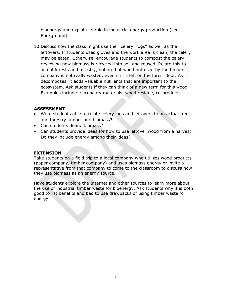bioenergy and explain its role in industrial energy production (see Background).

10.Discuss how the class might use their celery "logs" as well as the leftovers. If students used gloves and the work area is clean, the celery may be eaten. Otherwise, encourage students to compost the celery reviewing how biomass is recycled into soil and reused. Relate this to actual forests and forestry, noting that wood not used by the timber company is not really wasted, even if it is left on the forest floor. As it decomposes, it adds valuable nutrients that are important to the ecosystem. Ask students if they can think of a new term for this wood. Examples include: secondary materials, wood residue, co-products.

#### **ASSESSMENT**

- Were students able to relate celery logs and leftovers to an actual tree and forestry lumber and biomass?
- Can students define biomass?
- Can students provide ideas for how to use leftover wood from a harvest? Do they include energy among their ideas?

#### **EXTENSION**

Take students on a field trip to a local company who utilizes wood products (paper company, timber company) and uses biomass energy or invite a representative from that company to come to the classroom to discuss how they use biomass as an energy source.

Have students explore the Internet and other sources to learn more about the use of industrial timber waste for bioenergy. Ask students why it is both good to list benefits and bad to use drawbacks of using timber waste for energy.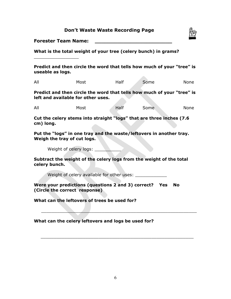|  |  |  | <b>Don't Waste Waste Recording Page</b> |  |
|--|--|--|-----------------------------------------|--|
|--|--|--|-----------------------------------------|--|



**Forester Team Name:** 

 $\overline{\phantom{a}}$  , where  $\overline{\phantom{a}}$  , where  $\overline{\phantom{a}}$  , where  $\overline{\phantom{a}}$ 

**What is the total weight of your tree (celery bunch) in grams?**

**Predict and then circle the word that tells how much of your "tree" is useable as logs.** 

**Allen** 

| All | Most | Half | Some | None |
|-----|------|------|------|------|
|     |      |      |      |      |

**Predict and then circle the word that tells how much of your "tree" is left and available for other uses.** 

All Most Half Some None

**Cut the celery stems into straight "logs" that are three inches (7.6 cm) long.** 

**Put the "logs" in one tray and the waste/leftovers in another tray. Weigh the tray of cut logs.** 

Weight of celery logs: \_\_\_\_\_\_

**Subtract the weight of the celery logs from the weight of the total celery bunch.** 

Weight of celery available for other uses: \_\_\_\_\_\_\_\_\_\_\_\_

**Were your predictions (questions 2 and 3) correct? Yes No (Circle the correct response)** 

 $\overline{\phantom{a}}$  , and the contract of the contract of the contract of the contract of the contract of the contract of the contract of the contract of the contract of the contract of the contract of the contract of the contrac

\_\_\_\_\_\_\_\_\_\_\_\_\_\_\_\_\_\_\_\_\_\_\_\_\_\_\_\_\_\_\_\_\_\_\_\_\_\_\_\_\_\_\_\_\_\_\_\_\_\_\_\_\_\_\_\_\_\_

**What can the leftovers of trees be used for?** 

**What can the celery leftovers and logs be used for?**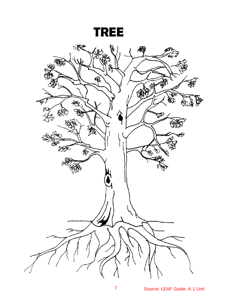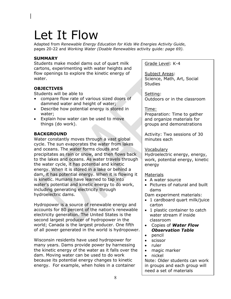# Let It Flow

Adapted from *Renewable Energy Education for Kids We Energies Activity Guide*, pages 20-22 and *Working Water (Doable Renewables* activity guide*: page 69).* 

#### **SUMMARY**

Students make model dams out of quart milk cartons, experimenting with water heights and flow openings to explore the kinetic energy of water.

#### **OBJECTIVES**

Students will be able to

- compare flow rate of various sized doors of dammed water and height of water;
- Describe how potential energy is stored in water;
- Explain how water can be used to move things (do work).

#### **BACKGROUND**

Water constantly moves through a vast global cycle. The sun evaporates the water from lakes and oceans. The water forms clouds and precipitates as rain or snow, and then flows back to the lakes and oceans. As water travels through the water cycle, it has potential and kinetic energy. When it is stored in a lake or behind a dam, it has potential energy. When it is flowing it is kinetic. Humans have learned to tap into water's potential and kinetic energy to do work, including generating electricity through hydroelectric dams.

Hydropower is a source of renewable energy and accounts for 80 percent of the nation's renewable electricity generation. The United States is the second largest producer of hydropower in the world; Canada is the largest producer. One fifth of all power generated in the world is hydropower.

Wisconsin residents have used hydropower for many years. Dams provide power by harnessing the kinetic energy of the water as it falls over the dam. Moving water can be used to do work because its potential energy changes to kinetic energy. For example, when holes in a container

Grade Level: K-4

Subject Areas: Science, Math, Art, Social Studies

Setting: Outdoors or in the classroom

#### Time:

Preparation: Time to gather and organize materials for groups and demonstrations

Activity: Two sessions of 30 minutes each

#### Vocabulary

Hydroelectric energy, energy, work, potential energy, kinetic energy

#### **Materials**

- A water source
- Pictures of natural and built dams

Dam experiment materials:

- 1 cardboard quart milk/juice carton
- 1 plastic container to catch water stream if inside classroom
- Copies of *Water Flow Observation Table*
- pencil
- scissor
- ruler
- magic marker
- nickel

Note: Older students can work in groups and each group will need a set of materials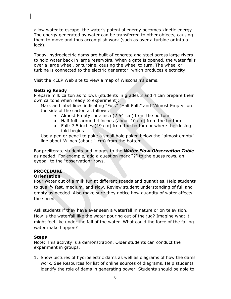allow water to escape, the water's potential energy becomes kinetic energy. The energy generated by water can be transferred to other objects, causing them to move and thus accomplish work (such as over a turbine or into a lock).

Today, hydroelectric dams are built of concrete and steel across large rivers to hold water back in large reservoirs. When a gate is opened, the water falls over a large wheel, or turbine, causing the wheel to turn. The wheel or turbine is connected to the electric generator, which produces electricity.

Visit the KEEP Web site to view a map of Wisconsin's dams.

#### **Getting Ready**

Prepare milk carton as follows (students in grades 3 and 4 can prepare their own cartons when ready to experiment):

Mark and label lines indicating "Full," "Half Full," and "Almost Empty" on the side of the carton as follows:

- Almost Empty: one inch (2.54 cm) from the bottom
- Half full: around 4 inches (about 10 cm) from the bottom
- Full: 7.5 inches (19 cm) from the bottom or where the closing fold begins

Use a pen or pencil to poke a small hole poked below the "almost empty" line about ½ inch (about 1 cm) from the bottom.

For preliterate students add images to the *Water Flow Observation Table*  as needed. For example, add a question mark "?" to the guess rows, an eyeball to the "observation" rows.

#### **PROCEDURE**

#### **Orientation**

Pour water out of a milk jug at different speeds and quantities. Help students to qualify fast, medium, and slow. Review student understanding of full and empty as needed. Also make sure they notice how quantity of water affects the speed.

Ask students if they have ever seen a waterfall in nature or on television. How is the waterfall like the water pouring out of the jug? Imagine what it might feel like under the fall of the water. What could the force of the falling water make happen?

#### **Steps**

Note: This activity is a demonstration. Older students can conduct the experiment in groups.

1. Show pictures of hydroelectric dams as well as diagrams of how the dams work. See Resources for list of online sources of diagrams. Help students identify the role of dams in generating power. Students should be able to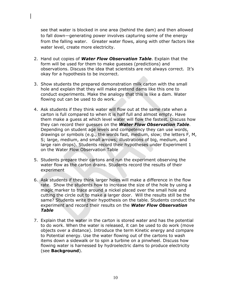see that water is blocked in one area (behind the dam) and then allowed to fall down—generating power involves capturing some of the energy from the falling water. Greater water flows, along with other factors like water level, create more electricity.

- 2. Hand out copies of *Water Flow Observation Table*. Explain that the form will be used for them to make guesses (predictions) and observations. Discuss the idea that scientists are not always correct. It's okay for a hypothesis to be incorrect.
- 3. Show students the prepared demonstration milk carton with the small hole and explain that they will make pretend dams like this one to conduct experiments. Make the analogy that this is like a dam. Water flowing out can be used to do work.
- 4. Ask students if they think water will flow out at the same rate when a carton is full compared to when it is half full and almost empty. Have them make a guess at which level water will flow the fastest. Discuss how they can record their guesses on the *Water Flow Observation Table*. Depending on student age levels and competency they can use words, drawings or symbols (e.g., the words fast, medium, slow; the letters F, M, S; large, medium, and small arrows; illustrations of big, medium, and large rain drops). Students record their hypotheses under Experiment 1 on the Water Flow Observation Table
- 5. Students prepare their cartons and run the experiment observing the water flow as the carton drains. Students record the results of their experiment
- 6. Ask students if they think larger holes will make a difference in the flow rate. Show the students how to increase the size of the hole by using a magic marker to trace around a nickel placed over the small hole and cutting the circle out to make a larger door. Will the results still be the same? Students write their hypothesis on the table. Students conduct the experiment and record their results on the *Water Flow Observation Table*
- 7. Explain that the water in the carton is stored water and has the potential to do work. When the water is released, it can be used to do work (move objects over a distance). Introduce the term Kinetic energy and compare to Potential energy. Use the water flowing out of the cartons to wash items down a sidewalk or to spin a turbine on a pinwheel. Discuss how flowing water is harnessed by hydroelectric dams to produce electricity (see **Background**).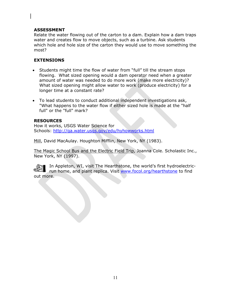#### **ASSESSMENT**

Relate the water flowing out of the carton to a dam. Explain how a dam traps water and creates flow to move objects, such as a turbine. Ask students which hole and hole size of the carton they would use to move something the most?

#### **EXTENSIONS**

- Students might time the flow of water from "full" till the stream stops flowing. What sized opening would a dam operator need when a greater amount of water was needed to do more work (make more electricity)? What sized opening might allow water to work (produce electricity) for a longer time at a constant rate?
- To lead students to conduct additional independent investigations ask, "What happens to the water flow if either sized hole is made at the "half full" or the "full" mark?

#### **RESOURCES**

How it works, USGS Water Science for Schools:<http://ga.water.usgs.gov/edu/hyhowworks.html>

Mill, David MacAulay. Houghton Mifflin, New York, NY (1983).

The Magic School Bus and the Electric Field Trip, Joanna Cole. Scholastic Inc., New York, NY (1997).

In Appleton, WI, visit The Hearthstone, the world's first hydroelectricrun home, and plant replica. Visit [www.focol.org/hearthstone](http://www.focol.org/hearthstone) to find out more.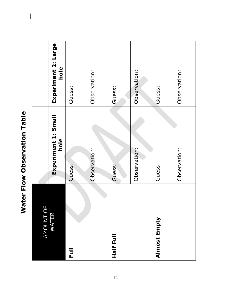| ł |
|---|
| J |
| ١ |
|   |
|   |
|   |
|   |
|   |
| ï |
| J |
|   |
|   |
|   |
|   |
|   |
|   |
|   |
|   |
|   |
|   |
|   |
|   |
| I |
|   |
|   |
|   |
|   |
|   |
|   |
|   |
|   |
|   |

 $\overline{\mathbf{a}}$ 

| Щ<br>AMOUNT OI<br>WATER |                             |                             |
|-------------------------|-----------------------------|-----------------------------|
|                         | Experiment 1: Small<br>hole | Experiment 2: Large<br>hole |
| Full                    | Guess:                      | Guess:                      |
|                         | Observation:                | Observation:                |
| Half Full               | Guess:                      | Guess:                      |
|                         | Observation:                | Observation:                |
| Almost Empty            | Guess:                      | <b>Guess:</b>               |
|                         | Observation:                | Observation:                |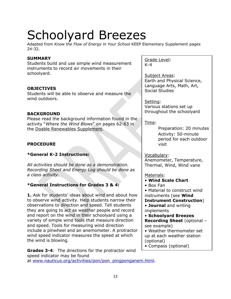# Schoolyard Breezes

Adapted from *Know the Flow of Energy in Your School* KEEP Elementary Supplement pages 24-32.

#### **SUMMARY**

Students build and use simple wind measurement instruments to record air movements in their schoolyard.

#### **OBJECTIVES**

Students will be able to observe and measure the wind outdoors.

#### **BACKGROUND**

Please read the background information found in the activity "*Where the Wind Blows*" on pages 62-63 in the Doable Renewables Supplement.

#### **PROCEDURE**

#### **\*General K-2 Instructions:**

*All activities should be done as a demonstration. Recording Sheet and Energy Log should be done as a class activity.*

#### **\*General Instructions for Grades 3 & 4:**

**1.** Ask for students' ideas about wind and about how to observe wind activity. Help students narrow their observations to direction and speed. Tell students they are going to act as weather people and record and report on the wind in their schoolyard using a variety of simple wind tools that measure direction and speed. Tools for measuring wind direction include a pinwheel and an anemometer. A protractor wind speed indicator measures the speed at which the wind is blowing.

**Grades 3-4**: The directions for the protractor wind speed indicator may be found at [www.nauticus.org/activities/pon/pon\\_pingponganem.htm](http://www.nauticus.org/activities/pon/pon_pingponganem.html)l.

Grade Level: K-4

Subject Areas: Earth and Physical Science, Language Arts, Math, Art, Social Studies

Setting: Various stations set up throughout the schoolyard

Time:

Preparation: 20 minutes Activity: 50-minute period for each outdoor visit

Vocabulary:

Anemometer, Temperature, Thermal, Wind, Wind vane

Materials:

- **Wind Scale Chart**
- Box Fan

• Material to construct wind instruments (see **Wind** 

**Instrument Construction**)

• **Journal** and writing implements

• **Schoolyard Breezes Recording Sheet** (optional – see example)

• Weather thermometer set up at each weather station (optional)

• Compass (optional)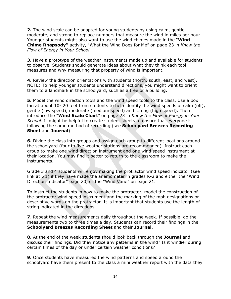**2.** The wind scale can be adapted for young students by using calm, gentle, moderate, and strong to replace numbers that measure the wind in miles per hour. Younger students might also want to use the wind chimes made in the "**Wind Chime Rhapsody"** activity, "What the Wind Does for Me" on page 23 in *Know the Flow of Energy in Your School*.

**3.** Have a prototype of the weather instruments made up and available for students to observe. Students should generate ideas about what they think each tool measures and why measuring that property of wind is important.

**4.** Review the direction orientations with students (north, south, east, and west). NOTE: To help younger students understand directions, you might want to orient them to a landmark in the schoolyard, such as a tree or a building.

**5.** Model the wind direction tools and the wind speed tools to the class. Use a box fan at about 10- 20 feet from students to help identify the wind speeds of calm (off), gentle (low speed), moderate (medium speed) and strong (high speed). Then introduce the "**Wind Scale Chart**" on page 23 in *Know the Flow of Energy in Your School*. It might be helpful to create student sheets to ensure that everyone is following the same method of recording (see **Schoolyard Breezes Recording Sheet** and **Journal**).

**6.** Divide the class into groups and assign each group to different locations around the schoolyard (four to five weather stations are recommended). Instruct each group to make one wind direction instrument and one wind speed instrument at their location. You may find it better to return to the classroom to make the instruments.

Grade 3 and 4 students will enjoy making the protractor wind speed indicator (see link at #1) if they have made the anemometer in grades K-2 and either the "Wind Direction Indicator" page 20, or the "Wind Vane" on page 21.

To instruct the students in how to make the protractor, model the construction of the protractor wind speed instrument and the marking of the mph designations or descriptive words on the protractor. It is important that students use the length of string indicated in the directions.

**7**. Repeat the wind measurements daily throughout the week. If possible, do the measurements two to three times a day. Students can record their findings in the **Schoolyard Breezes Recording Sheet** and their **Journal**.

**8.** At the end of the week students should look back through the **Journal** and discuss their findings. Did they notice any patterns in the wind? Is it windier during certain times of the day or under certain weather conditions?

**9.** Once students have measured the wind patterns and speed around the schoolyard have them present to the class a mini weather report with the data they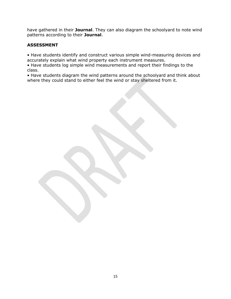have gathered in their **Journal**. They can also diagram the schoolyard to note wind patterns according to their **Journal**.

#### **ASSESSMENT**

• Have students identify and construct various simple wind-measuring devices and accurately explain what wind property each instrument measures.

• Have students log simple wind measurements and report their findings to the class.

• Have students diagram the wind patterns around the schoolyard and think about where they could stand to either feel the wind or stay sheltered from it.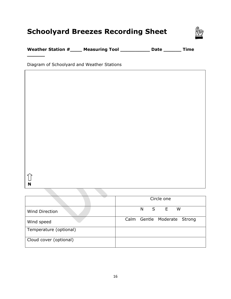## **Schoolyard Breezes Recording Sheet**



**Weather Station #\_\_\_\_ Measuring Tool \_\_\_\_\_\_\_\_\_\_ Date \_\_\_\_\_\_ Time** 

Diagram of Schoolyard and Weather Stations

 $\widehat{\mathbb{U}}$ **N**

**\_\_\_\_\_\_** 

|                        | Circle one                  |
|------------------------|-----------------------------|
| <b>Wind Direction</b>  | E<br>S<br>W<br>N            |
| Wind speed             | Calm Gentle Moderate Strong |
| Temperature (optional) |                             |
| Cloud cover (optional) |                             |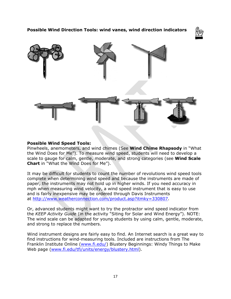**Possible Wind Direction Tools: wind vanes, wind direction indicators** 





#### **Possible Wind Speed Tools:**

Pinwheels, anemometers, and wind chimes (See **Wind Chime Rhapsody** in "What the Wind Does for Me"). To measure wind speed, students will need to develop a scale to gauge for calm, gentle, moderate, and strong categories (see **Wind Scale Chart** in "What the Wind Does for Me").

It may be difficult for students to count the number of revolutions wind speed tools complete when determining wind speed and because the instruments are made of paper, the instruments may not hold up in higher winds. If you need accuracy in mph when measuring wind velocity, a wind speed instrument that is easy to use and is fairly inexpensive may be ordered through Davis Instruments at <http://www.weatherconnection.com/product.asp?itmky=330807>.

Or, advanced students might want to try the protractor wind speed indicator from the *KEEP Activity Guide* (in the activity "Siting for Solar and Wind Energy"). NOTE: The wind scale can be adapted for young students by using calm, gentle, moderate, and strong to replace the numbers.

Wind instrument designs are fairly easy to find. An Internet search is a great way to find instructions for wind-measuring tools. Included are instructions from The Franklin Institute Online ([www.fi.edu/\)](http://www.fi.edu/) Blustery Beginnings: Windy Things to Make Web page ([www.fi.edu/tfi/units/energy/blustery.html](http://www.fi.edu/tfi/units/energy/blustery.html)).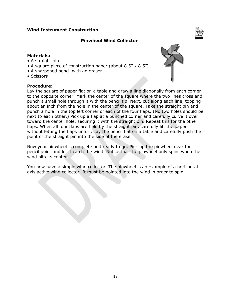#### **Wind Instrument Construction**

#### **Pinwheel Wind Collector**

#### **Materials:**

- A straight pin
- A square piece of construction paper (about 8.5" x 8.5")
- A sharpened pencil with an eraser
- Scissors

#### **Procedure:**



Lay the square of paper flat on a table and draw a line diagonally from each corner to the opposite corner. Mark the center of the square where the two lines cross and punch a small hole through it with the pencil tip. Next, cut along each line, topping about an inch from the hole in the center of the square. Take the straight pin and punch a hole in the top left corner of each of the four flaps. (No two holes should be next to each other.) Pick up a flap at a punched corner and carefully curve it over toward the center hole, securing it with the straight pin. Repeat this for the other flaps. When all four flaps are held by the straight pin, carefully lift the paper without letting the flaps unfurl. Lay the pencil flat on a table and carefully push the point of the straight pin into the side of the eraser.

Now your pinwheel is complete and ready to go. Pick up the pinwheel near the pencil point and let it catch the wind. Notice that the pinwheel only spins when the wind hits its center.

You now have a simple wind collector. The pinwheel is an example of a horizontalaxis active wind collector. It must be pointed into the wind in order to spin.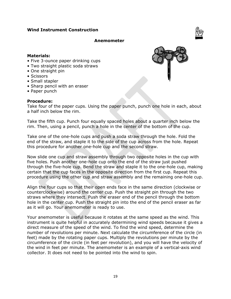#### **Wind Instrument Construction**

#### **Anemometer**

#### **Materials:**

- Five 3-ounce paper drinking cups
- Two straight plastic soda straws
- One straight pin
- Scissors
- Small stapler
- Sharp pencil with an eraser
- Paper punch

#### **Procedure:**

Take four of the paper cups. Using the paper punch, punch one hole in each, about a half inch below the rim.

Take the fifth cup. Punch four equally spaced holes about a quarter inch below the rim. Then, using a pencil, punch a hole in the center of the bottom of the cup.

Take one of the one-hole cups and push a soda straw through the hole. Fold the end of the straw, and staple it to the side of the cup across from the hole. Repeat this procedure for another one-hole cup and the second straw.

Now slide one cup and straw assembly through two opposite holes in the cup with five holes. Push another one-hole cup onto the end of the straw just pushed through the five-hole cup. Bend the straw and staple it to the one-hole cup, making certain that the cup faces in the opposite direction from the first cup. Repeat this procedure using the other cup and straw assembly and the remaining one-hole cup.

Align the four cups so that their open ends face in the same direction (clockwise or counterclockwise) around the center cup. Push the straight pin through the two straws where they intersect. Push the eraser end of the pencil through the bottom hole in the center cup. Push the straight pin into the end of the pencil eraser as far as it will go. Your anemometer is ready to use.

Your anemometer is useful because it rotates at the same speed as the wind. This instrument is quite helpful in accurately determining wind speeds because it gives a direct measure of the speed of the wind. To find the wind speed, determine the number of revolutions per minute. Next calculate the circumference of the circle (in feet) made by the rotating paper cups. Multiply the revolutions per minute by the circumference of the circle (in feet per revolution), and you will have the velocity of the wind in feet per minute. The anemometer is an example of a vertical-axis wind collector. It does not need to be pointed into the wind to spin.

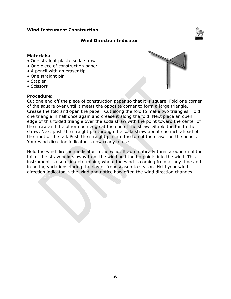#### **Wind Instrument Construction**

#### **Wind Direction Indicator**

#### **Materials:**

- One straight plastic soda straw
- One piece of construction paper
- A pencil with an eraser tip
- One straight pin
- Stapler
- Scissors

#### **Procedure:**

 $-431$ 



Cut one end off the piece of construction paper so that it is square. Fold one corner of the square over until it meets the opposite corner to form a large triangle. Crease the fold and open the paper. Cut along the fold to make two triangles. Fold one triangle in half once again and crease it along the fold. Next place an open edge of this folded triangle over the soda straw with the point toward the center of the straw and the other open edge at the end of the straw. Staple the tail to the straw. Next push the straight pin through the soda straw about one inch ahead of the front of the tail. Push the straight pin into the top of the eraser on the pencil. Your wind direction indicator is now ready to use.

Hold the wind direction indicator in the wind. It automatically turns around until the tail of the straw points away from the wind and the tip points into the wind. This instrument is useful in determining where the wind is coming from at any time and in noting variations during the day or from season to season. Hold your wind direction indicator in the wind and notice how often the wind direction changes.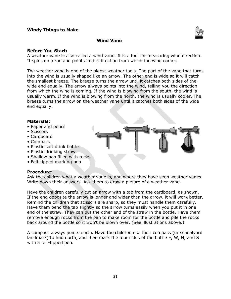#### **Windy Things to Make**



#### **Wind Vane**

#### **Before You Start:**

A weather vane is also called a wind vane. It is a tool for measuring wind direction. It spins on a rod and points in the direction from which the wind comes.

The weather vane is one of the oldest weather tools. The part of the vane that turns into the wind is usually shaped like an arrow. The other end is wide so it will catch the smallest breeze. The breeze turns the arrow until it catches both sides of the wide end equally. The arrow always points into the wind, telling you the direction from which the wind is coming. If the wind is blowing from the south, the wind is usually warm. If the wind is blowing from the north, the wind is usually cooler. The breeze turns the arrow on the weather vane until it catches both sides of the wide end equally.

#### **Materials:**

- Paper and pencil
- Scissors
- Cardboard
- Compass
- Plastic soft drink bottle
- Plastic drinking straw
- Shallow pan filled with rocks
- Felt-tipped marking pen

#### **Procedure:**

Ask the children what a weather vane is, and where they have seen weather vanes. Write down their answers. Ask them to draw a picture of a weather vane.

Have the children carefully cut an arrow with a tab from the cardboard, as shown. If the end opposite the arrow is longer and wider than the arrow, it will work better. Remind the children that scissors are sharp, so they must handle them carefully. Have them bend the tab slightly so the arrow turns easily when you put it in one end of the straw. They can put the other end of the straw in the bottle. Have them remove enough rocks from the pan to make room for the bottle and pile the rocks back around the bottle so it won't be blown over. (See illustrations above.)

A compass always points north. Have the children use their compass (or schoolyard landmark) to find north, and then mark the four sides of the bottle E, W, N, and S with a felt-tipped pen.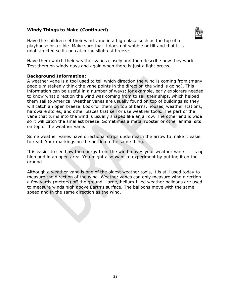#### **Windy Things to Make (Continued)**



Have the children set their wind vane in a high place such as the top of a playhouse or a slide. Make sure that it does not wobble or tilt and that it is unobstructed so it can catch the slightest breeze.

Have them watch their weather vanes closely and then describe how they work. Test them on windy days and again when there is just a light breeze.

#### **Background Information:**

A weather vane is a tool used to tell which direction the wind is coming from (many people mistakenly think the vane points in the direction the wind is going). This information can be useful in a number of ways; for example, early explorers needed to know what direction the wind was coming from to sail their ships, which helped them sail to America. Weather vanes are usually found on top of buildings so they will catch an open breeze. Look for them on top of barns, houses, weather stations, hardware stores, and other places that sell or use weather tools. The part of the vane that turns into the wind is usually shaped like an arrow. The other end is wide so it will catch the smallest breeze. Sometimes a metal rooster or other animal sits on top of the weather vane.

Some weather vanes have directional strips underneath the arrow to make it easier to read. Your markings on the bottle do the same thing.

It is easier to see how the energy from the wind moves your weather vane if it is up high and in an open area. You might also want to experiment by putting it on the ground.

Although a weather vane is one of the oldest weather tools, it is still used today to measure the direction of the wind. Weather vanes can only measure wind direction a few yards (meters) off the ground. Large, helium-filled weather balloons are used to measure winds high above Earth's surface. The balloons move with the same speed and in the same direction as the wind.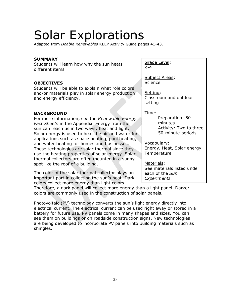# Solar Explorations

Adapted from *Doable Renewables* KEEP Activity Guide pages 41-43.

#### **SUMMARY**

Students will learn how why the sun heats different items

#### **OBJECTIVES**

Students will be able to explain what role colors and/or materials play in solar energy production and energy efficiency.

#### **BACKGROUND**

For more information, see the *Renewable Energy Fact Sheets* in the Appendix. Energy from the sun can reach us in two ways: heat and light. Solar energy is used to heat the air and water for applications such as space heating, pool heating, and water heating for homes and businesses. These technologies are solar thermal since they use the heating properties of solar energy. Solar thermal collectors are often mounted in a sunny spot like the roof of a building.

The color of the solar thermal collector plays an important part in collecting the sun's heat. Dark colors collect more energy than light colors.

Grade Level: K-4

Subject Areas: Science

Setting: Classroom and outdoor setting

Time:

Preparation: 50 minutes Activity: Two to three 50-minute periods

Vocabulary:

Energy, Heat, Solar energy, **Temperature** 

Materials: See materials listed under each of the *Sun Experiments.*

Therefore, a dark panel will collect more energy than a light panel. Darker colors are commonly used in the construction of solar panels.

Photovoltaic (PV) technology converts the sun's light energy directly into electrical current. The electrical current can be used right away or stored in a battery for future use. PV panels come in many shapes and sizes. You can see them on buildings or on roadside construction signs. New technologies are being developed to incorporate PV panels into building materials such as shingles.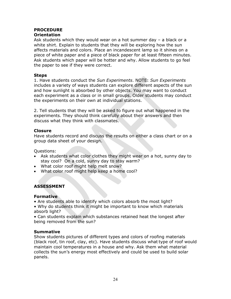#### **PROCEDURE Orientation**

Ask students which they would wear on a hot summer day – a black or a white shirt. Explain to students that they will be exploring how the sun affects materials and colors. Place an incandescent lamp so it shines on a piece of white paper and a piece of black paper for at least fifteen minutes. Ask students which paper will be hotter and why. Allow students to go feel the paper to see if they were correct.

#### **Steps**

1. Have students conduct the *Sun Experiments*. NOTE: *Sun Experiments*  includes a variety of ways students can explore different aspects of the sun and how sunlight is absorbed by other objects. You may want to conduct each experiment as a class or in small groups. Older students may conduct the experiments on their own at individual stations.

2. Tell students that they will be asked to figure out what happened in the experiments. They should think carefully about their answers and then discuss what they think with classmates.

#### **Closure**

Have students record and discuss the results on either a class chart or on a group data sheet of your design.

Questions:

- Ask students what color clothes they might wear on a hot, sunny day to stay cool? On a cold, sunny day to stay warm?
- What color roof might help melt snow?
- What color roof might help keep a home cool?

#### **ASSESSMENT**

#### **Formative**

- Are students able to identify which colors absorb the most light?
- Why do students think it might be important to know which materials absorb light?
- Can students explain which substances retained heat the longest after being removed from the sun?

#### **Summative**

Show students pictures of different types and colors of roofing materials (black roof, tin roof, clay, etc). Have students discuss what type of roof would maintain cool temperatures in a house and why. Ask them what material collects the sun's energy most effectively and could be used to build solar panels.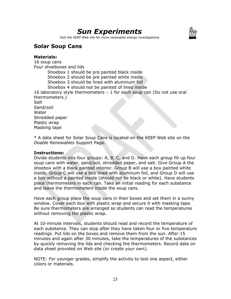## *Sun Experiments*



*Visit the KEEP Web site for more renewable energy investigations* 

### **Solar Soup Cans**

#### **Materials:**

16 soup cans Four shoeboxes and lids Shoebox 1 should be pre painted black inside Shoebox 2 should be pre painted white inside Shoebox 3 should be lined with aluminum foil Shoebox 4 should not be painted of lined inside 16 laboratory style thermometers – 1 for each soup can (Do not use oral thermometers.) **Salt** Sand/soil Water Shredded paper Plastic wrap Masking tape

\* A data sheet for Solar Soup Cans is located on the KEEP Web site on the *Doable Renewables* Support Page.

#### **Instructions:**

Divide students into four groups: A, B, C, and D. Have each group fill up four soup cans with water, sand/soil, shredded paper, and salt. Give Group A the shoebox with a black painted interior. Group B will use a box painted white inside. Group C will use a box lined with aluminum foil, and Group D will use a box without a painted inside (should not be black or white). Have students place thermometers in each can. Take an initial reading for each substance and leave the thermometers inside the soup cans.

Have each group place the soup cans in their boxes and set them in a sunny window. Cover each box with plastic wrap and secure it with masking tape. Be sure thermometers are arranged so students can read the temperatures without removing the plastic wrap.

At 10-minute intervals, students should read and record the temperature of each substance. They can stop after they have taken four or five temperature readings. Put lids on the boxes and remove them from the sun. After 15 minutes and again after 30 minutes, take the temperatures of the substances by quickly removing the lids and checking the thermometers. Record data on data sheet provided on Web site (or create your own).

NOTE: For younger grades, simplify the activity to test one aspect, either colors or materials.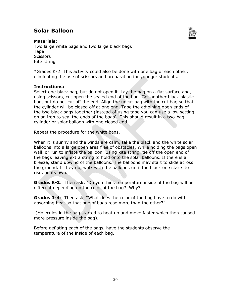### **Solar Balloon**



#### **Materials:**

Two large white bags and two large black bags Tape **Scissors** Kite string

\*Grades K-2: This activity could also be done with one bag of each other, eliminating the use of scissors and preparation for younger students.

#### **Instructions:**

Select one black bag, but do not open it. Lay the bag on a flat surface and, using scissors, cut open the sealed end of the bag. Get another black plastic bag, but do not cut off the end. Align the uncut bag with the cut bag so that the cylinder will be closed off at one end. Tape the adjoining open ends of the two black bags together (instead of using tape you can use a low setting on an iron to seal the ends of the bags). This should result in a two-bag cylinder or solar balloon with one closed end.

Repeat the procedure for the white bags.

When it is sunny and the winds are calm, take the black and the white solar balloons into a large open area free of obstacles. While holding the bags open walk or run to inflate the balloon. Using kite string, tie off the open end of the bags leaving extra string to hold onto the solar balloons. If there is a breeze, stand upwind of the balloons. The balloons may start to slide across the ground. If they do, walk with the balloons until the black one starts to rise, on its own.

**Grades K-2**: Then ask, "Do you think temperature inside of the bag will be different depending on the color of the bag? Why?"

**Grades 3-4**: Then ask, "What does the color of the bag have to do with absorbing heat so that one of bags rose more than the other?"

 (Molecules in the bag started to heat up and move faster which then caused more pressure inside the bag).

Before deflating each of the bags, have the students observe the temperature of the inside of each bag.